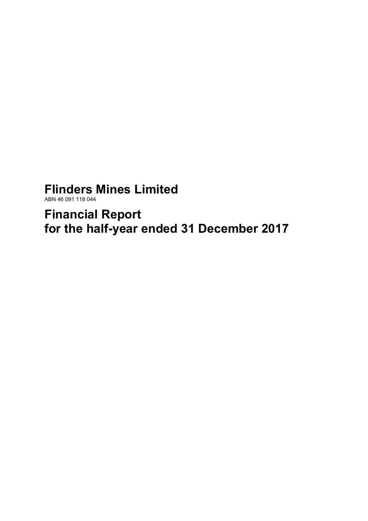## **Flinders Mines Limited**

ABN 46 091 118 044

**Financial Report for the half-year ended 31 December 2017**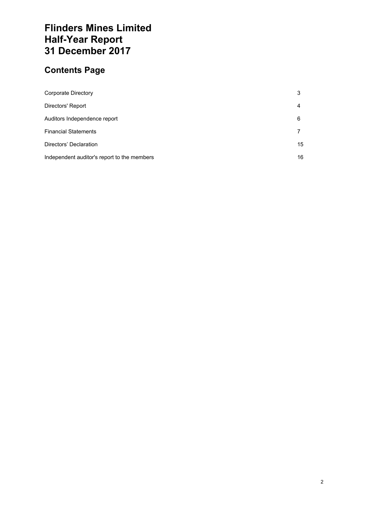## **Flinders Mines Limited Half-Year Report 31 December 2017**

## **Contents Page**

| <b>Corporate Directory</b>                  | 3  |
|---------------------------------------------|----|
| Directors' Report                           | 4  |
| Auditors Independence report                | 6  |
| <b>Financial Statements</b>                 |    |
| Directors' Declaration                      | 15 |
| Independent auditor's report to the members | 16 |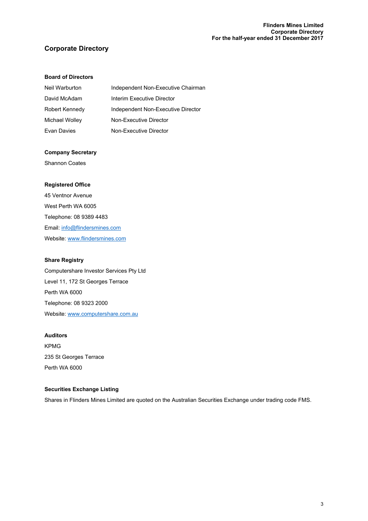#### **Corporate Directory**

#### **Board of Directors**

| Neil Warburton | Independent Non-Executive Chairman |
|----------------|------------------------------------|
| David McAdam   | Interim Executive Director         |
| Robert Kennedy | Independent Non-Executive Director |
| Michael Wolley | Non-Executive Director             |
| Evan Davies    | Non-Executive Director             |

#### **Company Secretary**

Shannon Coates

#### **Registered Office**

45 Ventnor Avenue West Perth WA 6005 Telephone: 08 9389 4483 Email: info@flindersmines.com Website: www.flindersmines.com

#### **Share Registry**

Computershare Investor Services Pty Ltd Level 11, 172 St Georges Terrace Perth WA 6000 Telephone: 08 9323 2000 Website: www.computershare.com.au

#### **Auditors**

KPMG 235 St Georges Terrace Perth WA 6000

#### **Securities Exchange Listing**

Shares in Flinders Mines Limited are quoted on the Australian Securities Exchange under trading code FMS.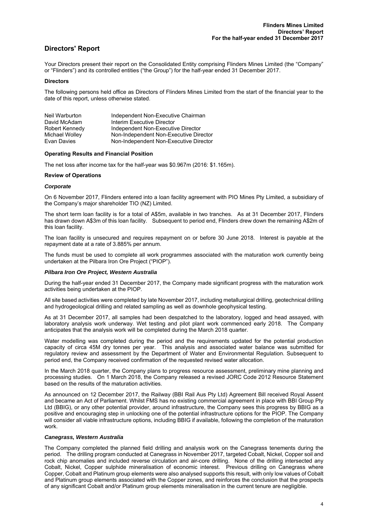#### **Directors' Report**

Your Directors present their report on the Consolidated Entity comprising Flinders Mines Limited (the "Company" or "Flinders") and its controlled entities ("the Group") for the half-year ended 31 December 2017.

#### **Directors**

The following persons held office as Directors of Flinders Mines Limited from the start of the financial year to the date of this report, unless otherwise stated.

| Neil Warburton | Independent Non-Executive Chairman     |
|----------------|----------------------------------------|
| David McAdam   | Interim Executive Director             |
| Robert Kennedy | Independent Non-Executive Director     |
| Michael Wolley | Non-Independent Non-Executive Director |
| Evan Davies    | Non-Independent Non-Executive Director |

#### **Operating Results and Financial Position**

The net loss after income tax for the half-year was \$0.967m (2016: \$1.165m).

#### **Review of Operations**

#### *Corporate*

On 6 November 2017, Flinders entered into a loan facility agreement with PIO Mines Pty Limited, a subsidiary of the Company's major shareholder TIO (NZ) Limited.

The short term loan facility is for a total of A\$5m, available in two tranches. As at 31 December 2017, Flinders has drawn down A\$3m of this loan facility. Subsequent to period end, Flinders drew down the remaining A\$2m of this loan facility.

The loan facility is unsecured and requires repayment on or before 30 June 2018. Interest is payable at the repayment date at a rate of 3.885% per annum.

The funds must be used to complete all work programmes associated with the maturation work currently being undertaken at the Pilbara Iron Ore Project ("PIOP").

#### *Pilbara Iron Ore Project, Western Australia*

During the half-year ended 31 December 2017, the Company made significant progress with the maturation work activities being undertaken at the PIOP.

All site based activities were completed by late November 2017, including metallurgical drilling, geotechnical drilling and hydrogeological drilling and related sampling as well as downhole geophysical testing.

As at 31 December 2017, all samples had been despatched to the laboratory, logged and head assayed, with laboratory analysis work underway. Wet testing and pilot plant work commenced early 2018. The Company anticipates that the analysis work will be completed during the March 2018 quarter.

Water modelling was completed during the period and the requirements updated for the potential production capacity of circa 45M dry tonnes per year. This analysis and associated water balance was submitted for regulatory review and assessment by the Department of Water and Environmental Regulation. Subsequent to period end, the Company received confirmation of the requested revised water allocation.

In the March 2018 quarter, the Company plans to progress resource assessment, preliminary mine planning and processing studies. On 1 March 2018, the Company released a revised JORC Code 2012 Resource Statement based on the results of the maturation activities.

As announced on 12 December 2017, the Railway (BBI Rail Aus Pty Ltd) Agreement Bill received Royal Assent and became an Act of Parliament. Whilst FMS has no existing commercial agreement in place with BBI Group Pty Ltd (BBIG), or any other potential provider, around infrastructure, the Company sees this progress by BBIG as a positive and encouraging step in unlocking one of the potential infrastructure options for the PIOP. The Company will consider all viable infrastructure options, including BBIG if available, following the completion of the maturation work.

#### *Canegrass, Western Australia*

The Company completed the planned field drilling and analysis work on the Canegrass tenements during the period. The drilling program conducted at Canegrass in November 2017, targeted Cobalt, Nickel, Copper soil and rock chip anomalies and included reverse circulation and air-core drilling. None of the drilling intersected any Cobalt, Nickel, Copper sulphide mineralisation of economic interest. Previous drilling on Canegrass where Copper, Cobalt and Platinum group elements were also analysed supports this result, with only low values of Cobalt and Platinum group elements associated with the Copper zones, and reinforces the conclusion that the prospects of any significant Cobalt and/or Platinum group elements mineralisation in the current tenure are negligible.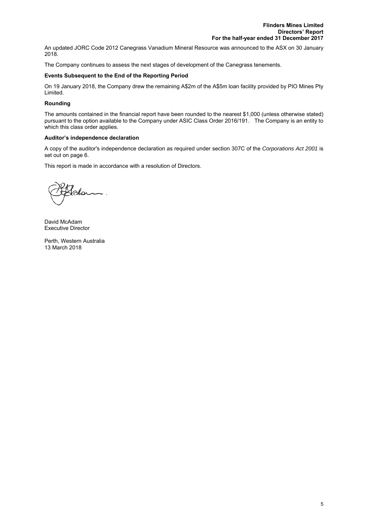An updated JORC Code 2012 Canegrass Vanadium Mineral Resource was announced to the ASX on 30 January 2018.

The Company continues to assess the next stages of development of the Canegrass tenements.

#### **Events Subsequent to the End of the Reporting Period**

On 19 January 2018, the Company drew the remaining A\$2m of the A\$5m loan facility provided by PIO Mines Pty Limited.

#### **Rounding**

The amounts contained in the financial report have been rounded to the nearest \$1,000 (unless otherwise stated) pursuant to the option available to the Company under ASIC Class Order 2016/191. The Company is an entity to which this class order applies.

#### **Auditor's independence declaration**

A copy of the auditor's independence declaration as required under section 307C of the *Corporations Act 2001* is set out on page 6.

This report is made in accordance with a resolution of Directors.

8lo

David McAdam Executive Director

Perth, Western Australia 13 March 2018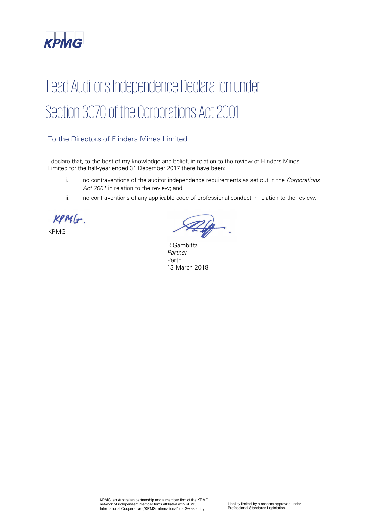

# Lead Auditor's Independence Declaration under Section 307C of the Corporations Act 2001

### To the Directors of Flinders Mines Limited

I declare that, to the best of my knowledge and belief, in relation to the review of Flinders Mines Limited for the half-year ended 31 December 2017 there have been:

- i. no contraventions of the auditor independence requirements as set out in the Corporations Act 2001 in relation to the review; and
- ii. no contraventions of any applicable code of professional conduct in relation to the review.

 $KPMG$ .

KPMG

R Gambitta Partner Perth 13 March 2018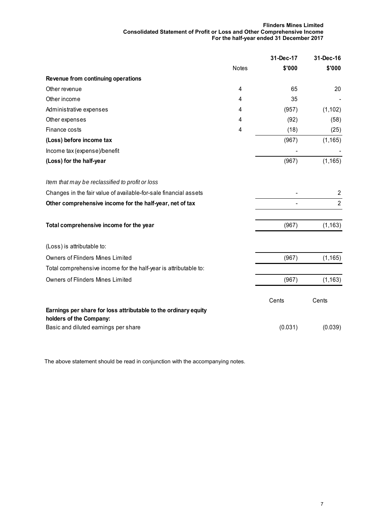#### **Flinders Mines Limited Consolidated Statement of Profit or Loss and Other Comprehensive Income For the half-year ended 31 December 2017**

|                                                                                            |              | 31-Dec-17 | 31-Dec-16      |
|--------------------------------------------------------------------------------------------|--------------|-----------|----------------|
|                                                                                            | <b>Notes</b> | \$'000    | \$'000         |
| Revenue from continuing operations                                                         |              |           |                |
| Other revenue                                                                              | 4            | 65        | 20             |
| Other income                                                                               | 4            | 35        |                |
| Administrative expenses                                                                    | 4            | (957)     | (1, 102)       |
| Other expenses                                                                             | 4            | (92)      | (58)           |
| Finance costs                                                                              | 4            | (18)      | (25)           |
| (Loss) before income tax                                                                   |              | (967)     | (1, 165)       |
| Income tax (expense)/benefit                                                               |              |           |                |
| (Loss) for the half-year                                                                   |              | (967)     | (1, 165)       |
| Item that may be reclassified to profit or loss                                            |              |           |                |
| Changes in the fair value of available-for-sale financial assets                           |              |           | 2              |
| Other comprehensive income for the half-year, net of tax                                   |              |           | $\overline{2}$ |
| Total comprehensive income for the year                                                    |              | (967)     | (1, 163)       |
| (Loss) is attributable to:                                                                 |              |           |                |
| <b>Owners of Flinders Mines Limited</b>                                                    |              | (967)     | (1, 165)       |
| Total comprehensive income for the half-year is attributable to:                           |              |           |                |
| <b>Owners of Flinders Mines Limited</b>                                                    |              | (967)     | (1, 163)       |
|                                                                                            |              | Cents     | Cents          |
| Earnings per share for loss attributable to the ordinary equity<br>holders of the Company: |              |           |                |
| Basic and diluted earnings per share                                                       |              | (0.031)   | (0.039)        |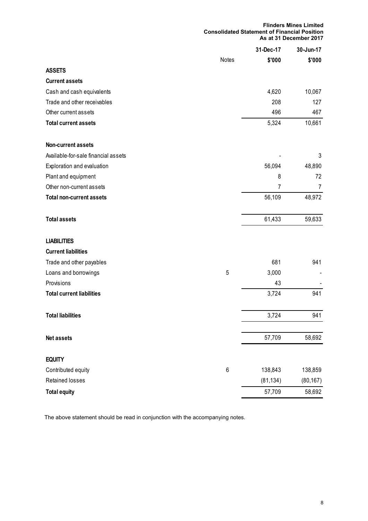|                                     | <b>Flinders Mines Limited</b><br><b>Consolidated Statement of Financial Position</b><br>As at 31 December 2017 |                |           |
|-------------------------------------|----------------------------------------------------------------------------------------------------------------|----------------|-----------|
|                                     |                                                                                                                | 31-Dec-17      | 30-Jun-17 |
|                                     | <b>Notes</b>                                                                                                   | \$'000         | \$'000    |
| <b>ASSETS</b>                       |                                                                                                                |                |           |
| <b>Current assets</b>               |                                                                                                                |                |           |
| Cash and cash equivalents           |                                                                                                                | 4,620          | 10,067    |
| Trade and other receivables         |                                                                                                                | 208            | 127       |
| Other current assets                |                                                                                                                | 496            | 467       |
| <b>Total current assets</b>         |                                                                                                                | 5,324          | 10,661    |
| Non-current assets                  |                                                                                                                |                |           |
| Available-for-sale financial assets |                                                                                                                |                | 3         |
| Exploration and evaluation          |                                                                                                                | 56,094         | 48,890    |
| Plant and equipment                 |                                                                                                                | 8              | 72        |
| Other non-current assets            |                                                                                                                | $\overline{7}$ | 7         |
| <b>Total non-current assets</b>     |                                                                                                                | 56,109         | 48,972    |
| <b>Total assets</b>                 |                                                                                                                | 61,433         | 59,633    |
| <b>LIABILITIES</b>                  |                                                                                                                |                |           |
| <b>Current liabilities</b>          |                                                                                                                |                |           |
| Trade and other payables            |                                                                                                                | 681            | 941       |
| Loans and borrowings                | 5                                                                                                              | 3,000          |           |
| Provisions                          |                                                                                                                | 43             |           |
| <b>Total current liabilities</b>    |                                                                                                                | 3,724          | 941       |
| <b>Total liabilities</b>            |                                                                                                                | 3,724          | 941       |
| <b>Net assets</b>                   |                                                                                                                | 57,709         | 58,692    |
| <b>EQUITY</b>                       |                                                                                                                |                |           |
| Contributed equity                  | $\,6\,$                                                                                                        | 138,843        | 138,859   |
| <b>Retained losses</b>              |                                                                                                                | (81, 134)      | (80, 167) |
| <b>Total equity</b>                 |                                                                                                                | 57,709         | 58,692    |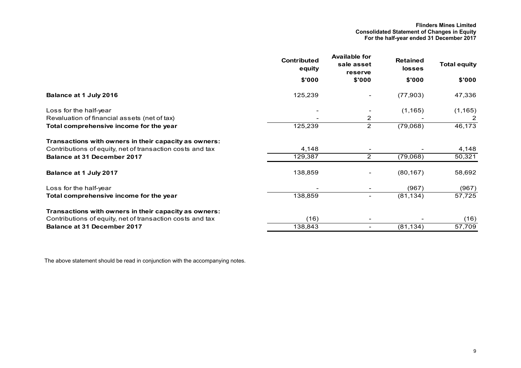#### **Flinders Mines Limited Consolidated Statement of Changes in Equity For the half-year ended 31 December 2017**

|                                                           | <b>Contributed</b><br>equity | <b>Available for</b><br>sale asset<br>reserve | <b>Retained</b><br><b>losses</b> | <b>Total equity</b> |
|-----------------------------------------------------------|------------------------------|-----------------------------------------------|----------------------------------|---------------------|
|                                                           | \$'000                       | \$'000                                        | \$'000                           | \$'000              |
| Balance at 1 July 2016                                    | 125,239                      |                                               | (77,903)                         | 47,336              |
| Loss for the half-year                                    |                              |                                               | (1, 165)                         | (1, 165)            |
| Revaluation of financial assets (net of tax)              |                              | $\overline{2}$                                |                                  | 2                   |
| Total comprehensive income for the year                   | 125,239                      | $\overline{2}$                                | (79,068)                         | 46,173              |
| Transactions with owners in their capacity as owners:     |                              |                                               |                                  |                     |
| Contributions of equity, net of transaction costs and tax | 4,148                        |                                               |                                  | 4,148               |
| <b>Balance at 31 December 2017</b>                        | 129,387                      | $\overline{2}$                                | (79,068)                         | 50,321              |
| Balance at 1 July 2017                                    | 138,859                      |                                               | (80, 167)                        | 58,692              |
| Loss for the half-year                                    |                              |                                               | (967)                            | (967)               |
| Total comprehensive income for the year                   | 138,859                      | $\overline{\phantom{a}}$                      | (81, 134)                        | 57,725              |
| Transactions with owners in their capacity as owners:     |                              |                                               |                                  |                     |
| Contributions of equity, net of transaction costs and tax | (16)                         |                                               |                                  | (16)                |
| Balance at 31 December 2017                               | 138,843                      | $\overline{\phantom{a}}$                      | (81, 134)                        | 57,709              |
|                                                           |                              |                                               |                                  |                     |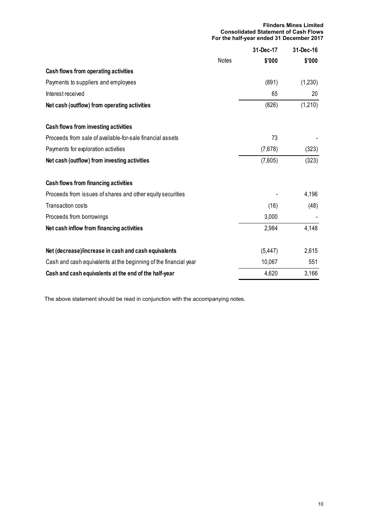#### **Flinders Mines Limited Consolidated Statement of Cash Flows For the half-year ended 31 December 2017**

|                                                                  |              | 31-Dec-17 | 31-Dec-16 |
|------------------------------------------------------------------|--------------|-----------|-----------|
|                                                                  | <b>Notes</b> | \$'000    | \$'000    |
| Cash flows from operating activities                             |              |           |           |
| Payments to suppliers and employees                              |              | (891)     | (1,230)   |
| Interest received                                                |              | 65        | 20        |
| Net cash (outflow) from operating activities                     |              | (826)     | (1,210)   |
| Cash flows from investing activities                             |              |           |           |
| Proceeds from sale of available-for-sale financial assets        |              | 73        |           |
| Payments for exploration activities                              |              | (7,678)   | (323)     |
| Net cash (outflow) from investing activities                     |              | (7,605)   | (323)     |
| Cash flows from financing activities                             |              |           |           |
| Proceeds from issues of shares and other equity securities       |              |           | 4,196     |
| <b>Transaction costs</b>                                         |              | (16)      | (48)      |
| Proceeds from borrowings                                         |              | 3,000     |           |
| Net cash inflow from financing activities                        |              | 2,984     | 4,148     |
| Net (decrease)/increase in cash and cash equivalents             |              | (5, 447)  | 2,615     |
| Cash and cash equivalents at the beginning of the financial year |              | 10,067    | 551       |
| Cash and cash equivalents at the end of the half-year            |              | 4,620     | 3,166     |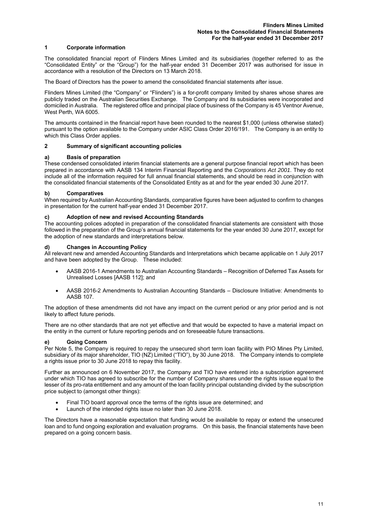#### **1 Corporate information**

The consolidated financial report of Flinders Mines Limited and its subsidiaries (together referred to as the "Consolidated Entity" or the "Group") for the half-year ended 31 December 2017 was authorised for issue in accordance with a resolution of the Directors on 13 March 2018.

The Board of Directors has the power to amend the consolidated financial statements after issue.

Flinders Mines Limited (the "Company" or "Flinders") is a for-profit company limited by shares whose shares are publicly traded on the Australian Securities Exchange. The Company and its subsidiaries were incorporated and domiciled in Australia. The registered office and principal place of business of the Company is 45 Ventnor Avenue, West Perth, WA 6005.

The amounts contained in the financial report have been rounded to the nearest \$1,000 (unless otherwise stated) pursuant to the option available to the Company under ASIC Class Order 2016/191. The Company is an entity to which this Class Order applies.

#### **2 Summary of significant accounting policies**

#### **a) Basis of preparation**

These condensed consolidated interim financial statements are a general purpose financial report which has been prepared in accordance with AASB 134 Interim Financial Reporting and the *Corporations Act 2001*. They do not include all of the information required for full annual financial statements, and should be read in conjunction with the consolidated financial statements of the Consolidated Entity as at and for the year ended 30 June 2017.

#### **b) Comparatives**

When required by Australian Accounting Standards, comparative figures have been adjusted to confirm to changes in presentation for the current half-year ended 31 December 2017.

#### **c) Adoption of new and revised Accounting Standards**

The accounting polices adopted in preparation of the consolidated financial statements are consistent with those followed in the preparation of the Group's annual financial statements for the year ended 30 June 2017, except for the adoption of new standards and interpretations below.

#### **d) Changes in Accounting Policy**

All relevant new and amended Accounting Standards and Interpretations which became applicable on 1 July 2017 and have been adopted by the Group. These included:

- AASB 2016-1 Amendments to Australian Accounting Standards Recognition of Deferred Tax Assets for Unrealised Losses [AASB 112]; and
- AASB 2016-2 Amendments to Australian Accounting Standards Disclosure Initiative: Amendments to AASB 107.

The adoption of these amendments did not have any impact on the current period or any prior period and is not likely to affect future periods.

There are no other standards that are not yet effective and that would be expected to have a material impact on the entity in the current or future reporting periods and on foreseeable future transactions.

#### **e) Going Concern**

Per Note 5, the Company is required to repay the unsecured short term loan facility with PIO Mines Pty Limited, subsidiary of its major shareholder, TIO (NZ) Limited ("TIO"), by 30 June 2018. The Company intends to complete a rights issue prior to 30 June 2018 to repay this facility.

Further as announced on 6 November 2017, the Company and TIO have entered into a subscription agreement under which TIO has agreed to subscribe for the number of Company shares under the rights issue equal to the lesser of its pro-rata entitlement and any amount of the loan facility principal outstanding divided by the subscription price subject to (amongst other things):

- Final TIO board approval once the terms of the rights issue are determined; and
- Launch of the intended rights issue no later than 30 June 2018.

The Directors have a reasonable expectation that funding would be available to repay or extend the unsecured loan and to fund ongoing exploration and evaluation programs. On this basis, the financial statements have been prepared on a going concern basis.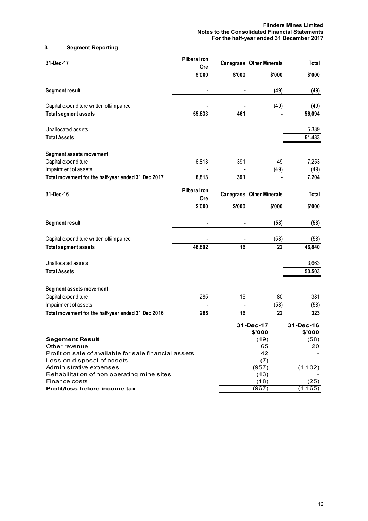#### **3 Segment Reporting**

| 31-Dec-17                                                             | Pilbara Iron<br>Ore        |        | <b>Canegrass Other Minerals</b> | Total               |
|-----------------------------------------------------------------------|----------------------------|--------|---------------------------------|---------------------|
|                                                                       | \$'000                     | \$'000 | \$'000                          | \$'000              |
|                                                                       |                            |        |                                 |                     |
| <b>Segment result</b>                                                 |                            |        | (49)                            | (49)                |
| Capital expenditure written off/impaired                              |                            |        | (49)                            | (49)                |
| <b>Total segment assets</b>                                           | 55,633                     | 461    |                                 | 56,094              |
| Unallocated assets                                                    |                            |        |                                 | 5,339               |
| <b>Total Assets</b>                                                   |                            |        |                                 | 61,433              |
| <b>Segment assets movement:</b>                                       |                            |        |                                 |                     |
| Capital expenditure                                                   | 6,813                      | 391    | 49                              | 7,253               |
| Impairment of assets                                                  |                            |        | (49)                            | (49)                |
| Total movement for the half-year ended 31 Dec 2017                    | 6,813                      | 391    | $\blacksquare$                  | 7,204               |
| 31-Dec-16                                                             | Pilbara Iron<br><b>Ore</b> |        | <b>Canegrass Other Minerals</b> | Total               |
|                                                                       | \$'000                     | \$'000 | \$'000                          | \$'000              |
| <b>Segment result</b>                                                 |                            |        | (58)                            | (58)                |
| Capital expenditure written off/impaired                              |                            |        | (58)                            | (58)                |
| <b>Total segment assets</b>                                           | 46,802                     | 16     | 22                              | 46,840              |
| Unallocated assets                                                    |                            |        |                                 | 3,663               |
| <b>Total Assets</b>                                                   |                            |        |                                 | 50,503              |
| <b>Segment assets movement:</b>                                       |                            |        |                                 |                     |
| Capital expenditure                                                   | 285                        | 16     | 80                              | 381                 |
| Impairment of assets                                                  |                            |        | (58)                            | (58)                |
| Total movement for the half-year ended 31 Dec 2016                    | 285                        | 16     | 22                              | 323                 |
|                                                                       |                            |        | 31-Dec-17<br>\$'000             | 31-Dec-16<br>\$'000 |
| <b>Segement Result</b>                                                |                            |        | (49)                            | (58)                |
| Other revenue                                                         |                            |        | 65                              | 20                  |
| Profit on sale of available for sale financial assets                 |                            |        | 42                              |                     |
| Loss on disposal of assets                                            |                            |        | (7)                             |                     |
| Administrative expenses<br>Rehabilitation of non operating mine sites |                            |        | (957)<br>(43)                   | (1, 102)            |
| Finance costs                                                         |                            |        | (18)                            | (25)                |
| Profit/loss before income tax                                         |                            |        | (967)                           | (1, 165)            |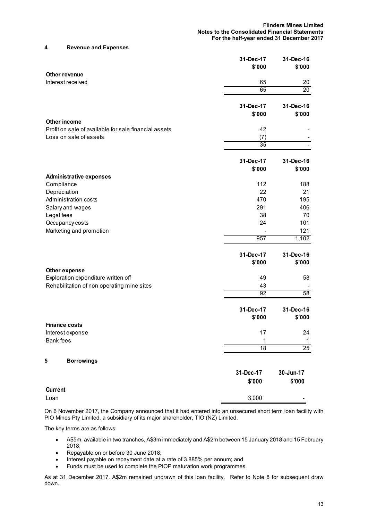**4 Revenue and Expenses** 

|                                                       | 31-Dec-17<br>\$'000 | 31-Dec-16<br>\$'000 |
|-------------------------------------------------------|---------------------|---------------------|
| Other revenue                                         |                     |                     |
| Interest received                                     | 65                  | 20                  |
|                                                       | 65                  | $\overline{20}$     |
|                                                       | 31-Dec-17           | 31-Dec-16           |
|                                                       | \$'000              | \$'000              |
| Other income                                          |                     |                     |
| Profit on sale of available for sale financial assets | 42                  |                     |
| Loss on sale of assets                                | (7)                 |                     |
|                                                       | $\overline{35}$     |                     |
|                                                       | 31-Dec-17           | 31-Dec-16           |
|                                                       | \$'000              | \$'000              |
| <b>Administrative expenses</b>                        |                     |                     |
| Compliance                                            | 112                 | 188                 |
| Depreciation                                          | 22                  | 21                  |
| Administration costs                                  | 470                 | 195                 |
| Salary and wages                                      | 291                 | 406                 |
| Legal fees                                            | 38                  | 70                  |
| Occupancy costs                                       | 24                  | 101                 |
| Marketing and promotion                               |                     | 121                 |
|                                                       | 957                 | 1,102               |
|                                                       | 31-Dec-17           | 31-Dec-16           |
|                                                       | \$'000              | \$'000              |
| Other expense                                         |                     |                     |
| Exploration expenditure written off                   | 49                  | 58                  |
| Rehabilitation of non operating mine sites            | 43                  |                     |
|                                                       | 92                  | 58                  |
|                                                       | 31-Dec-17           | 31-Dec-16           |
|                                                       | \$'000              | \$'000              |
| <b>Finance costs</b>                                  |                     |                     |
| Interest expense                                      | 17                  | 24                  |
| Bank fees                                             | 1                   | $\mathbf{1}$        |
|                                                       | 18                  | $\overline{25}$     |
| <b>Borrowings</b><br>5                                |                     |                     |
|                                                       | 31-Dec-17           | 30-Jun-17           |
|                                                       | \$'000              | \$'000              |
| <b>Current</b>                                        |                     |                     |
| Loan                                                  | 3,000               |                     |

On 6 November 2017, the Company announced that it had entered into an unsecured short term loan facility with PIO Mines Pty Limited, a subsidiary of its major shareholder, TIO (NZ) Limited.

The key terms are as follows:

- A\$5m, available in two tranches, A\$3m immediately and A\$2m between 15 January 2018 and 15 February 2018;
- Repayable on or before 30 June 2018;
- Interest payable on repayment date at a rate of 3.885% per annum; and
- Funds must be used to complete the PIOP maturation work programmes.

As at 31 December 2017, A\$2m remained undrawn of this loan facility. Refer to Note 8 for subsequent draw down.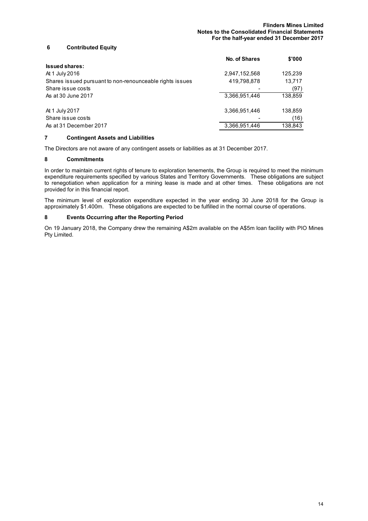#### **6 Contributed Equity**

|                                                          | <b>No. of Shares</b> | \$'000  |
|----------------------------------------------------------|----------------------|---------|
| <b>Issued shares:</b>                                    |                      |         |
| At 1 July 2016                                           | 2,947,152,568        | 125,239 |
| Shares issued pursuant to non-renounceable rights issues | 419,798,878          | 13,717  |
| Share issue costs                                        |                      | (97)    |
| As at 30 June 2017                                       | 3.366.951.446        | 138,859 |
| At 1 July 2017                                           | 3.366.951.446        | 138,859 |
| Share issue costs                                        |                      | (16)    |
| As at 31 December 2017                                   | 3,366,951,446        | 138,843 |

#### **7 Contingent Assets and Liabilities**

The Directors are not aware of any contingent assets or liabilities as at 31 December 2017.

#### **8 Commitments**

In order to maintain current rights of tenure to exploration tenements, the Group is required to meet the minimum expenditure requirements specified by various States and Territory Governments. These obligations are subject to renegotiation when application for a mining lease is made and at other times. These obligations are not provided for in this financial report.

The minimum level of exploration expenditure expected in the year ending 30 June 2018 for the Group is approximately \$1.400m. These obligations are expected to be fulfilled in the normal course of operations.

#### **8 Events Occurring after the Reporting Period**

On 19 January 2018, the Company drew the remaining A\$2m available on the A\$5m loan facility with PIO Mines Pty Limited.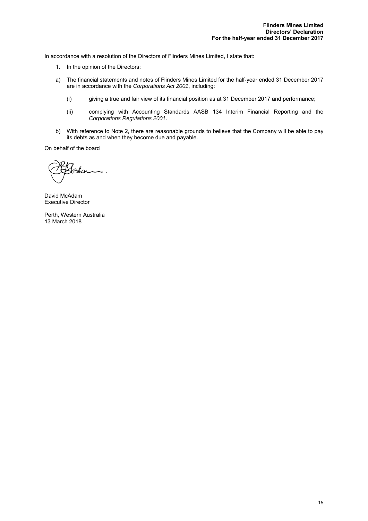In accordance with a resolution of the Directors of Flinders Mines Limited, I state that:

- 1. In the opinion of the Directors:
- a) The financial statements and notes of Flinders Mines Limited for the half-year ended 31 December 2017 are in accordance with the *Corporations Act 2001*, including:
	- (i) giving a true and fair view of its financial position as at 31 December 2017 and performance;
	- (ii) complying with Accounting Standards AASB 134 Interim Financial Reporting and the *Corporations Regulations 2001*.
- b) With reference to Note 2, there are reasonable grounds to believe that the Company will be able to pay its debts as and when they become due and payable.

On behalf of the board

David McAdam Executive Director

Perth, Western Australia 13 March 2018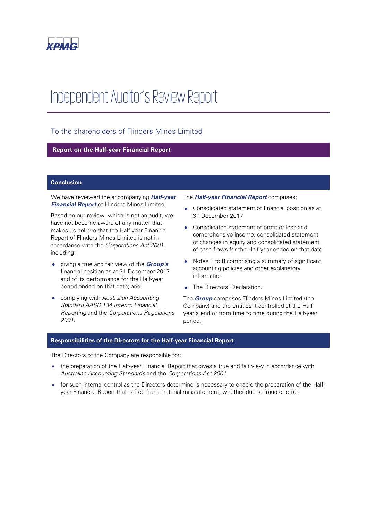

# Independent Auditor's Review Report

#### To the shareholders of Flinders Mines Limited

#### **Report on the Half-year Financial Report**

#### **Conclusion**

We have reviewed the accompanying **Half-year Financial Report** of Flinders Mines Limited.

Based on our review, which is not an audit, we have not become aware of any matter that makes us believe that the Half-year Financial Report of Flinders Mines Limited is not in accordance with the Corporations Act 2001, including:

- giving a true and fair view of the **Group's** financial position as at 31 December 2017 and of its performance for the Half-year period ended on that date; and
- complying with Australian Accounting Standard AASB 134 Interim Financial Reporting and the Corporations Regulations 2001.

The **Half-year Financial Report** comprises:

- Consolidated statement of financial position as at 31 December 2017
- Consolidated statement of profit or loss and comprehensive income, consolidated statement of changes in equity and consolidated statement of cash flows for the Half-year ended on that date
- Notes 1 to 8 comprising a summary of significant accounting policies and other explanatory information
- The Directors' Declaration.

The **Group** comprises Flinders Mines Limited (the Company) and the entities it controlled at the Half year's end or from time to time during the Half-year period.

#### **Responsibilities of the Directors for the Half-year Financial Report**

The Directors of the Company are responsible for:

- the preparation of the Half-year Financial Report that gives a true and fair view in accordance with Australian Accounting Standards and the Corporations Act 2001
- for such internal control as the Directors determine is necessary to enable the preparation of the Halfyear Financial Report that is free from material misstatement, whether due to fraud or error.